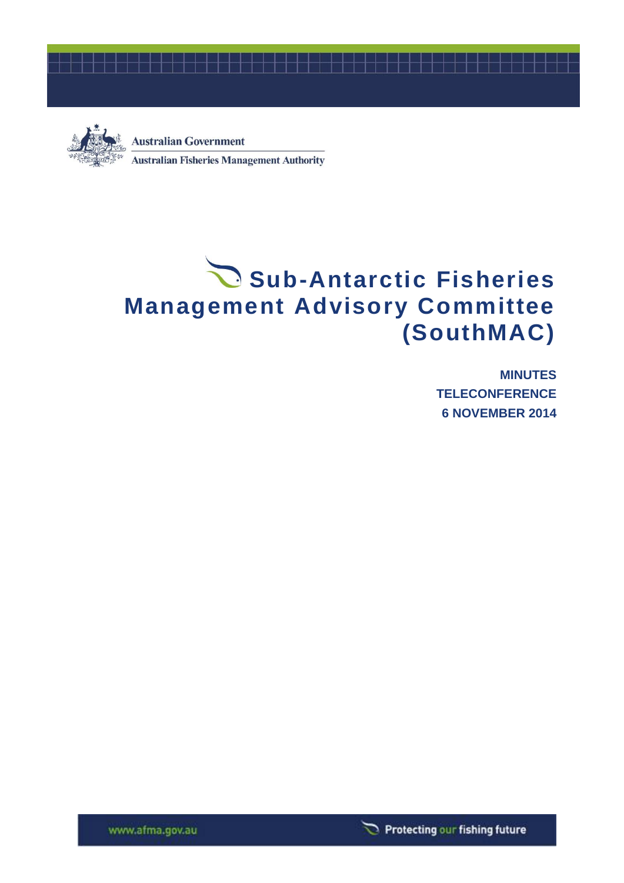



**Australian Government Australian Fisheries Management Authority** 

# Sub-Antarctic Fisheries **Management Advisory Committee (SouthMAC)**

**MINUTES TELECONFERENCE 6 NOVEMBER 2014**



www.afma.gov.au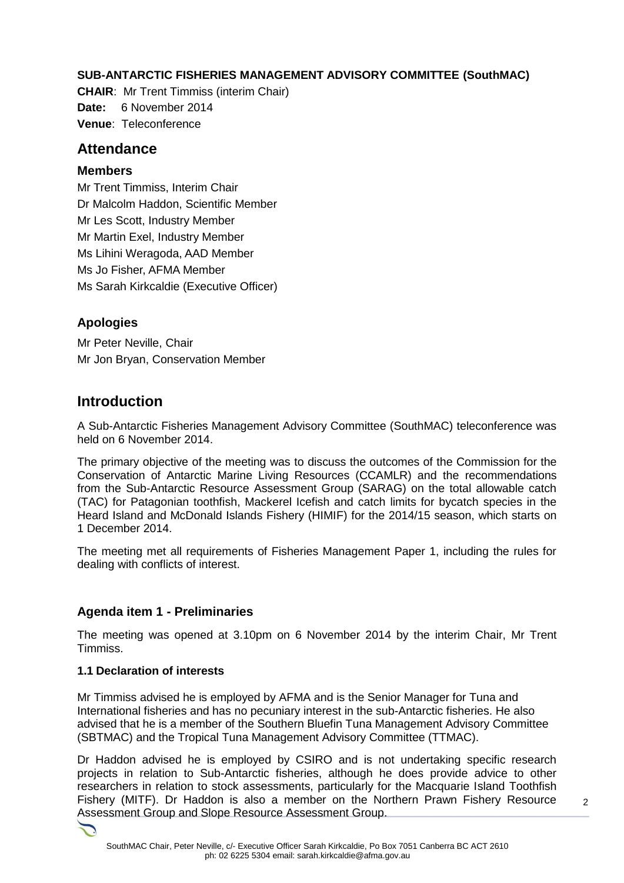# **SUB-ANTARCTIC FISHERIES MANAGEMENT ADVISORY COMMITTEE (SouthMAC)**

**CHAIR**: Mr Trent Timmiss (interim Chair) **Date:** 6 November 2014 **Venue**: Teleconference

# **Attendance**

## **Members**

Mr Trent Timmiss, Interim Chair Dr Malcolm Haddon, Scientific Member Mr Les Scott, Industry Member Mr Martin Exel, Industry Member Ms Lihini Weragoda, AAD Member Ms Jo Fisher, AFMA Member Ms Sarah Kirkcaldie (Executive Officer)

# **Apologies**

Mr Peter Neville, Chair Mr Jon Bryan, Conservation Member

# **Introduction**

A Sub-Antarctic Fisheries Management Advisory Committee (SouthMAC) teleconference was held on 6 November 2014.

The primary objective of the meeting was to discuss the outcomes of the Commission for the Conservation of Antarctic Marine Living Resources (CCAMLR) and the recommendations from the Sub-Antarctic Resource Assessment Group (SARAG) on the total allowable catch (TAC) for Patagonian toothfish, Mackerel Icefish and catch limits for bycatch species in the Heard Island and McDonald Islands Fishery (HIMIF) for the 2014/15 season, which starts on 1 December 2014.

The meeting met all requirements of Fisheries Management Paper 1, including the rules for dealing with conflicts of interest.

# **Agenda item 1 - Preliminaries**

The meeting was opened at 3.10pm on 6 November 2014 by the interim Chair, Mr Trent Timmiss.

## **1.1 Declaration of interests**

Mr Timmiss advised he is employed by AFMA and is the Senior Manager for Tuna and International fisheries and has no pecuniary interest in the sub-Antarctic fisheries. He also advised that he is a member of the Southern Bluefin Tuna Management Advisory Committee (SBTMAC) and the Tropical Tuna Management Advisory Committee (TTMAC).

Dr Haddon advised he is employed by CSIRO and is not undertaking specific research projects in relation to Sub-Antarctic fisheries, although he does provide advice to other researchers in relation to stock assessments, particularly for the Macquarie Island Toothfish Fishery (MITF). Dr Haddon is also a member on the Northern Prawn Fishery Resource Assessment Group and Slope Resource Assessment Group.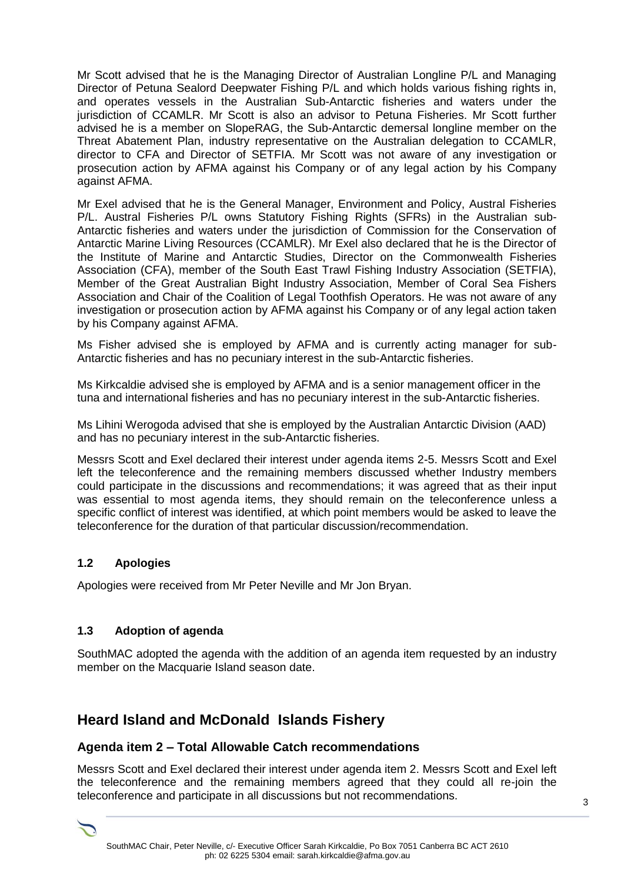Mr Scott advised that he is the Managing Director of Australian Longline P/L and Managing Director of Petuna Sealord Deepwater Fishing P/L and which holds various fishing rights in, and operates vessels in the Australian Sub-Antarctic fisheries and waters under the jurisdiction of CCAMLR. Mr Scott is also an advisor to Petuna Fisheries. Mr Scott further advised he is a member on SlopeRAG, the Sub-Antarctic demersal longline member on the Threat Abatement Plan, industry representative on the Australian delegation to CCAMLR, director to CFA and Director of SETFIA. Mr Scott was not aware of any investigation or prosecution action by AFMA against his Company or of any legal action by his Company against AFMA.

Mr Exel advised that he is the General Manager, Environment and Policy, Austral Fisheries P/L. Austral Fisheries P/L owns Statutory Fishing Rights (SFRs) in the Australian sub-Antarctic fisheries and waters under the jurisdiction of Commission for the Conservation of Antarctic Marine Living Resources (CCAMLR). Mr Exel also declared that he is the Director of the Institute of Marine and Antarctic Studies, Director on the Commonwealth Fisheries Association (CFA), member of the South East Trawl Fishing Industry Association (SETFIA), Member of the Great Australian Bight Industry Association, Member of Coral Sea Fishers Association and Chair of the Coalition of Legal Toothfish Operators. He was not aware of any investigation or prosecution action by AFMA against his Company or of any legal action taken by his Company against AFMA.

Ms Fisher advised she is employed by AFMA and is currently acting manager for sub-Antarctic fisheries and has no pecuniary interest in the sub-Antarctic fisheries.

Ms Kirkcaldie advised she is employed by AFMA and is a senior management officer in the tuna and international fisheries and has no pecuniary interest in the sub-Antarctic fisheries.

Ms Lihini Werogoda advised that she is employed by the Australian Antarctic Division (AAD) and has no pecuniary interest in the sub-Antarctic fisheries.

Messrs Scott and Exel declared their interest under agenda items 2-5. Messrs Scott and Exel left the teleconference and the remaining members discussed whether Industry members could participate in the discussions and recommendations; it was agreed that as their input was essential to most agenda items, they should remain on the teleconference unless a specific conflict of interest was identified, at which point members would be asked to leave the teleconference for the duration of that particular discussion/recommendation.

## **1.2 Apologies**

Apologies were received from Mr Peter Neville and Mr Jon Bryan.

## **1.3 Adoption of agenda**

SouthMAC adopted the agenda with the addition of an agenda item requested by an industry member on the Macquarie Island season date.

# **Heard Island and McDonald Islands Fishery**

## **Agenda item 2 – Total Allowable Catch recommendations**

Messrs Scott and Exel declared their interest under agenda item 2. Messrs Scott and Exel left the teleconference and the remaining members agreed that they could all re-join the teleconference and participate in all discussions but not recommendations.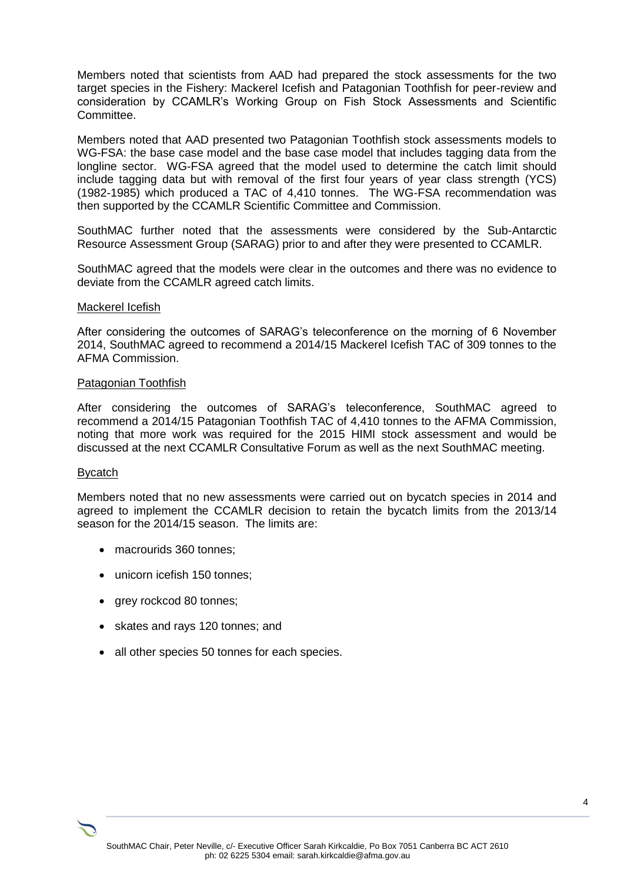Members noted that scientists from AAD had prepared the stock assessments for the two target species in the Fishery: Mackerel Icefish and Patagonian Toothfish for peer-review and consideration by CCAMLR's Working Group on Fish Stock Assessments and Scientific Committee.

Members noted that AAD presented two Patagonian Toothfish stock assessments models to WG-FSA: the base case model and the base case model that includes tagging data from the longline sector. WG-FSA agreed that the model used to determine the catch limit should include tagging data but with removal of the first four years of year class strength (YCS) (1982-1985) which produced a TAC of 4,410 tonnes. The WG-FSA recommendation was then supported by the CCAMLR Scientific Committee and Commission.

SouthMAC further noted that the assessments were considered by the Sub-Antarctic Resource Assessment Group (SARAG) prior to and after they were presented to CCAMLR.

SouthMAC agreed that the models were clear in the outcomes and there was no evidence to deviate from the CCAMLR agreed catch limits.

#### Mackerel Icefish

After considering the outcomes of SARAG's teleconference on the morning of 6 November 2014, SouthMAC agreed to recommend a 2014/15 Mackerel Icefish TAC of 309 tonnes to the AFMA Commission.

#### Patagonian Toothfish

After considering the outcomes of SARAG's teleconference, SouthMAC agreed to recommend a 2014/15 Patagonian Toothfish TAC of 4,410 tonnes to the AFMA Commission, noting that more work was required for the 2015 HIMI stock assessment and would be discussed at the next CCAMLR Consultative Forum as well as the next SouthMAC meeting.

#### Bycatch

Members noted that no new assessments were carried out on bycatch species in 2014 and agreed to implement the CCAMLR decision to retain the bycatch limits from the 2013/14 season for the 2014/15 season. The limits are:

- macrourids 360 tonnes;
- unicorn icefish 150 tonnes;
- grey rockcod 80 tonnes;
- skates and rays 120 tonnes; and
- all other species 50 tonnes for each species.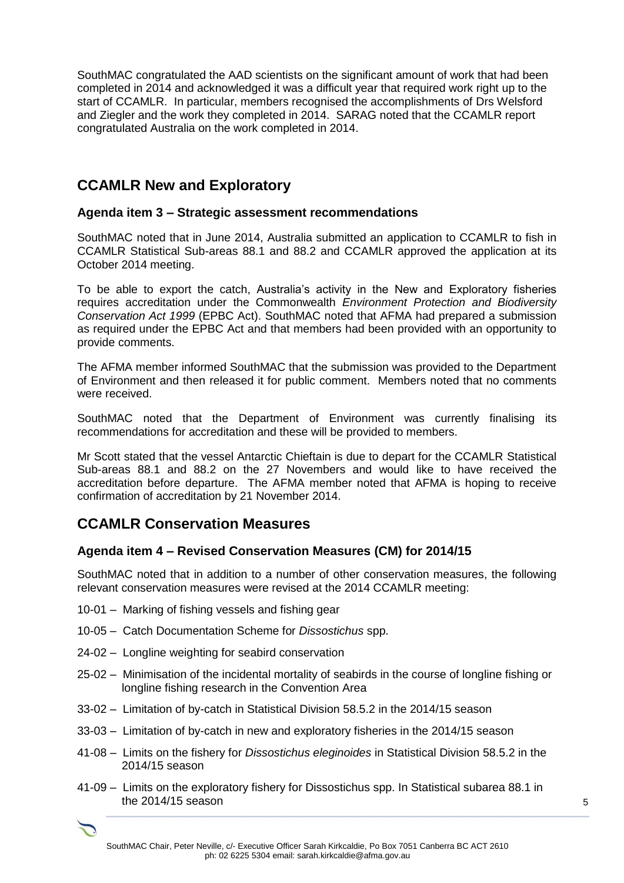SouthMAC congratulated the AAD scientists on the significant amount of work that had been completed in 2014 and acknowledged it was a difficult year that required work right up to the start of CCAMLR. In particular, members recognised the accomplishments of Drs Welsford and Ziegler and the work they completed in 2014. SARAG noted that the CCAMLR report congratulated Australia on the work completed in 2014.

# **CCAMLR New and Exploratory**

# **Agenda item 3 – Strategic assessment recommendations**

SouthMAC noted that in June 2014, Australia submitted an application to CCAMLR to fish in CCAMLR Statistical Sub-areas 88.1 and 88.2 and CCAMLR approved the application at its October 2014 meeting.

To be able to export the catch, Australia's activity in the New and Exploratory fisheries requires accreditation under the Commonwealth *Environment Protection and Biodiversity Conservation Act 1999* (EPBC Act). SouthMAC noted that AFMA had prepared a submission as required under the EPBC Act and that members had been provided with an opportunity to provide comments.

The AFMA member informed SouthMAC that the submission was provided to the Department of Environment and then released it for public comment. Members noted that no comments were received.

SouthMAC noted that the Department of Environment was currently finalising its recommendations for accreditation and these will be provided to members.

Mr Scott stated that the vessel Antarctic Chieftain is due to depart for the CCAMLR Statistical Sub-areas 88.1 and 88.2 on the 27 Novembers and would like to have received the accreditation before departure. The AFMA member noted that AFMA is hoping to receive confirmation of accreditation by 21 November 2014.

# **CCAMLR Conservation Measures**

## **Agenda item 4 – Revised Conservation Measures (CM) for 2014/15**

SouthMAC noted that in addition to a number of other conservation measures, the following relevant conservation measures were revised at the 2014 CCAMLR meeting:

- 10-01 Marking of fishing vessels and fishing gear
- 10-05 Catch Documentation Scheme for *Dissostichus* spp.
- 24-02 Longline weighting for seabird conservation
- 25-02 Minimisation of the incidental mortality of seabirds in the course of longline fishing or longline fishing research in the Convention Area
- 33-02 Limitation of by-catch in Statistical Division 58.5.2 in the 2014/15 season
- 33-03 Limitation of by-catch in new and exploratory fisheries in the 2014/15 season
- 41-08 Limits on the fishery for *Dissostichus eleginoides* in Statistical Division 58.5.2 in the 2014/15 season
- 41-09 Limits on the exploratory fishery for Dissostichus spp. In Statistical subarea 88.1 in the 2014/15 season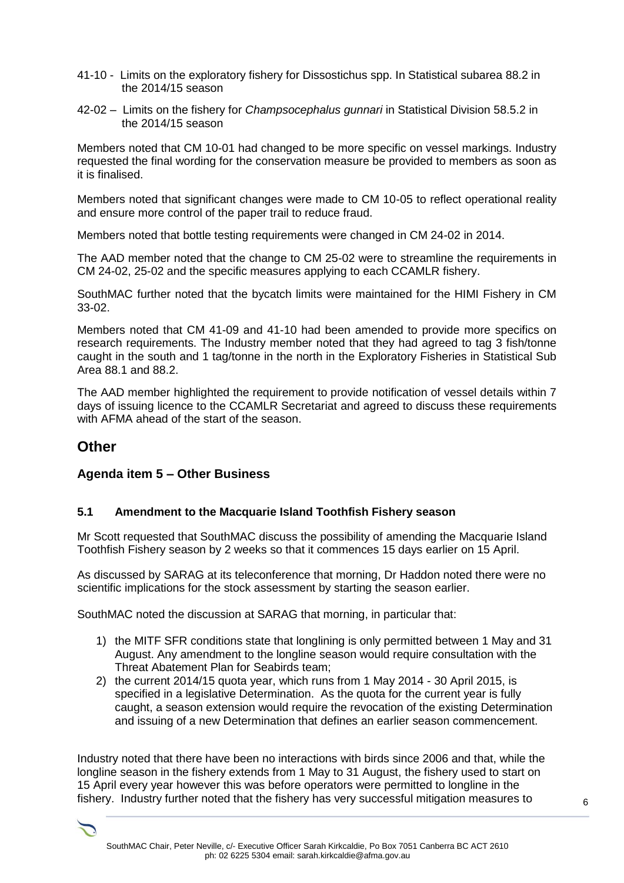- 41-10 Limits on the exploratory fishery for Dissostichus spp. In Statistical subarea 88.2 in the 2014/15 season
- 42-02 Limits on the fishery for *Champsocephalus gunnari* in Statistical Division 58.5.2 in the 2014/15 season

Members noted that CM 10-01 had changed to be more specific on vessel markings. Industry requested the final wording for the conservation measure be provided to members as soon as it is finalised.

Members noted that significant changes were made to CM 10-05 to reflect operational reality and ensure more control of the paper trail to reduce fraud.

Members noted that bottle testing requirements were changed in CM 24-02 in 2014.

The AAD member noted that the change to CM 25-02 were to streamline the requirements in CM 24-02, 25-02 and the specific measures applying to each CCAMLR fishery.

SouthMAC further noted that the bycatch limits were maintained for the HIMI Fishery in CM 33-02.

Members noted that CM 41-09 and 41-10 had been amended to provide more specifics on research requirements. The Industry member noted that they had agreed to tag 3 fish/tonne caught in the south and 1 tag/tonne in the north in the Exploratory Fisheries in Statistical Sub Area 88.1 and 88.2.

The AAD member highlighted the requirement to provide notification of vessel details within 7 days of issuing licence to the CCAMLR Secretariat and agreed to discuss these requirements with AFMA ahead of the start of the season.

# **Other**

## **Agenda item 5 – Other Business**

## **5.1 Amendment to the Macquarie Island Toothfish Fishery season**

Mr Scott requested that SouthMAC discuss the possibility of amending the Macquarie Island Toothfish Fishery season by 2 weeks so that it commences 15 days earlier on 15 April.

As discussed by SARAG at its teleconference that morning, Dr Haddon noted there were no scientific implications for the stock assessment by starting the season earlier.

SouthMAC noted the discussion at SARAG that morning, in particular that:

- 1) the MITF SFR conditions state that longlining is only permitted between 1 May and 31 August. Any amendment to the longline season would require consultation with the Threat Abatement Plan for Seabirds team;
- 2) the current 2014/15 quota year, which runs from 1 May 2014 30 April 2015, is specified in a legislative Determination. As the quota for the current year is fully caught, a season extension would require the revocation of the existing Determination and issuing of a new Determination that defines an earlier season commencement.

Industry noted that there have been no interactions with birds since 2006 and that, while the longline season in the fishery extends from 1 May to 31 August, the fishery used to start on 15 April every year however this was before operators were permitted to longline in the fishery. Industry further noted that the fishery has very successful mitigation measures to